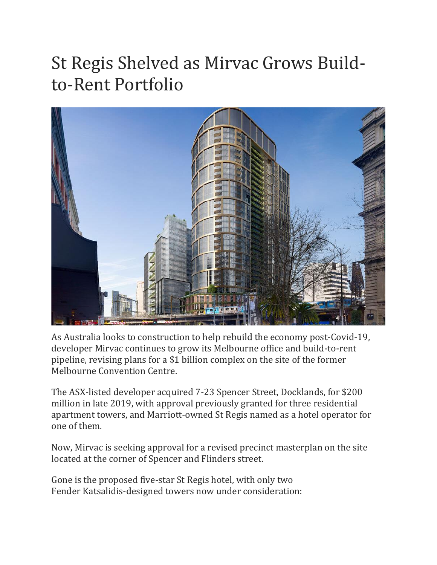## St Regis Shelved as Mirvac Grows Buildto-Rent Portfolio



As Australia looks to construction to help rebuild the economy post-Covid-19, developer Mirvac continues to grow its Melbourne office and build-to-rent pipeline, revising plans for a \$1 billion complex on the site of the former Melbourne Convention Centre.

The ASX-listed developer acquired 7-23 Spencer Street, Docklands, for \$200 million in late 2019, with approval previously granted for three residential apartment towers, and Marriott-owned St Regis named as a hotel operator for one of them.

Now, Mirvac is seeking approval for a revised precinct masterplan on the site located at the corner of Spencer and Flinders street.

Gone is the proposed five-star St Regis hotel, with only two Fender Katsalidis-designed towers now under consideration: